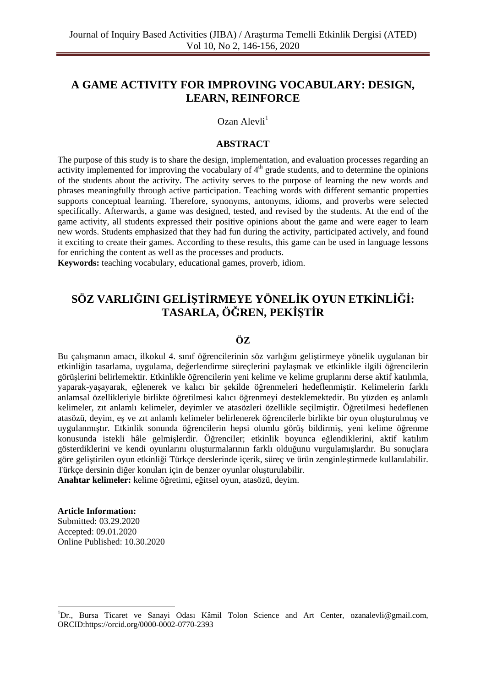# **A GAME ACTIVITY FOR IMPROVING VOCABULARY: DESIGN, LEARN, REINFORCE**

Ozan Alevli<sup>1</sup>

## **ABSTRACT**

The purpose of this study is to share the design, implementation, and evaluation processes regarding an activity implemented for improving the vocabulary of 4<sup>th</sup> grade students, and to determine the opinions of the students about the activity. The activity serves to the purpose of learning the new words and phrases meaningfully through active participation. Teaching words with different semantic properties supports conceptual learning. Therefore, synonyms, antonyms, idioms, and proverbs were selected specifically. Afterwards, a game was designed, tested, and revised by the students. At the end of the game activity, all students expressed their positive opinions about the game and were eager to learn new words. Students emphasized that they had fun during the activity, participated actively, and found it exciting to create their games. According to these results, this game can be used in language lessons for enriching the content as well as the processes and products.

**Keywords:** teaching vocabulary, educational games, proverb, idiom.

# **SÖZ VARLIĞINI GELİŞTİRMEYE YÖNELİK OYUN ETKİNLİĞİ: TASARLA, ÖĞREN, PEKİŞTİR**

## **ÖZ**

Bu çalışmanın amacı, ilkokul 4. sınıf öğrencilerinin söz varlığını geliştirmeye yönelik uygulanan bir etkinliğin tasarlama, uygulama, değerlendirme süreçlerini paylaşmak ve etkinlikle ilgili öğrencilerin görüşlerini belirlemektir. Etkinlikle öğrencilerin yeni kelime ve kelime gruplarını derse aktif katılımla, yaparak-yaşayarak, eğlenerek ve kalıcı bir şekilde öğrenmeleri hedeflenmiştir. Kelimelerin farklı anlamsal özellikleriyle birlikte öğretilmesi kalıcı öğrenmeyi desteklemektedir. Bu yüzden eş anlamlı kelimeler, zıt anlamlı kelimeler, deyimler ve atasözleri özellikle seçilmiştir. Öğretilmesi hedeflenen atasözü, deyim, eş ve zıt anlamlı kelimeler belirlenerek öğrencilerle birlikte bir oyun oluşturulmuş ve uygulanmıştır. Etkinlik sonunda öğrencilerin hepsi olumlu görüş bildirmiş, yeni kelime öğrenme konusunda istekli hâle gelmişlerdir. Öğrenciler; etkinlik boyunca eğlendiklerini, aktif katılım gösterdiklerini ve kendi oyunlarını oluşturmalarının farklı olduğunu vurgulamışlardır. Bu sonuçlara göre geliştirilen oyun etkinliği Türkçe derslerinde içerik, süreç ve ürün zenginleştirmede kullanılabilir. Türkçe dersinin diğer konuları için de benzer oyunlar oluşturulabilir. **Anahtar kelimeler:** kelime öğretimi, eğitsel oyun, atasözü, deyim.

#### **Article Information:**

Submitted: 03.29.2020 Accepted: 09.01.2020 Online Published: 10.30.2020

<sup>&</sup>lt;sup>1</sup>Dr., Bursa Ticaret ve Sanayi Odası Kâmil Tolon Science and Art Center, ozanalevli@gmail.com, ORCID:https://orcid.org/0000-0002-0770-2393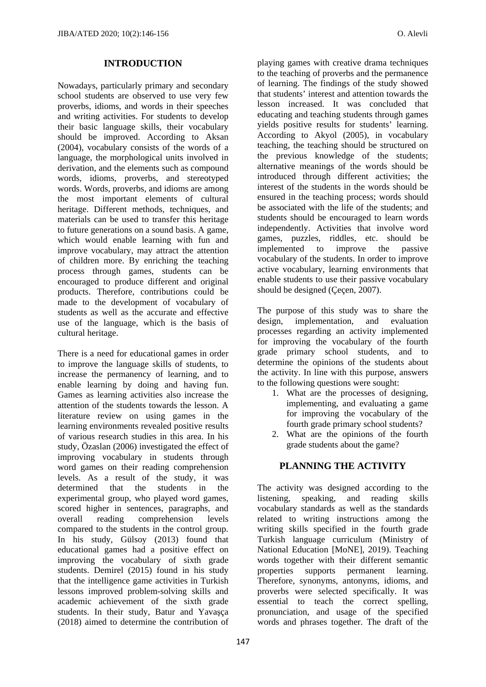#### **INTRODUCTION**

Nowadays, particularly primary and secondary school students are observed to use very few proverbs, idioms, and words in their speeches and writing activities. For students to develop their basic language skills, their vocabulary should be improved. According to Aksan (2004), vocabulary consists of the words of a language, the morphological units involved in derivation, and the elements such as compound words, idioms, proverbs, and stereotyped words. Words, proverbs, and idioms are among the most important elements of cultural heritage. Different methods, techniques, and materials can be used to transfer this heritage to future generations on a sound basis. A game, which would enable learning with fun and improve vocabulary, may attract the attention of children more. By enriching the teaching process through games, students can be encouraged to produce different and original products. Therefore, contributions could be made to the development of vocabulary of students as well as the accurate and effective use of the language, which is the basis of cultural heritage.

There is a need for educational games in order to improve the language skills of students, to increase the permanency of learning, and to enable learning by doing and having fun. Games as learning activities also increase the attention of the students towards the lesson. A literature review on using games in the learning environments revealed positive results of various research studies in this area. In his study, Özaslan (2006) investigated the effect of improving vocabulary in students through word games on their reading comprehension levels. As a result of the study, it was determined that the students in the experimental group, who played word games, scored higher in sentences, paragraphs, and overall reading comprehension levels compared to the students in the control group. In his study, Gülsoy (2013) found that educational games had a positive effect on improving the vocabulary of sixth grade students. Demirel (2015) found in his study that the intelligence game activities in Turkish lessons improved problem-solving skills and academic achievement of the sixth grade students. In their study, Batur and Yavaşça (2018) aimed to determine the contribution of

playing games with creative drama techniques to the teaching of proverbs and the permanence of learning. The findings of the study showed that students' interest and attention towards the lesson increased. It was concluded that educating and teaching students through games yields positive results for students' learning. According to Akyol (2005), in vocabulary teaching, the teaching should be structured on the previous knowledge of the students; alternative meanings of the words should be introduced through different activities; the interest of the students in the words should be ensured in the teaching process; words should be associated with the life of the students; and students should be encouraged to learn words independently. Activities that involve word games, puzzles, riddles, etc. should be implemented to improve the passive vocabulary of the students. In order to improve active vocabulary, learning environments that enable students to use their passive vocabulary should be designed (Çeçen, 2007).

The purpose of this study was to share the design, implementation, and evaluation processes regarding an activity implemented for improving the vocabulary of the fourth grade primary school students, and to determine the opinions of the students about the activity. In line with this purpose, answers to the following questions were sought:

- 1. What are the processes of designing, implementing, and evaluating a game for improving the vocabulary of the fourth grade primary school students?
- 2. What are the opinions of the fourth grade students about the game?

## **PLANNING THE ACTIVITY**

The activity was designed according to the listening, speaking, and reading skills vocabulary standards as well as the standards related to writing instructions among the writing skills specified in the fourth grade Turkish language curriculum (Ministry of National Education [MoNE], 2019). Teaching words together with their different semantic properties supports permanent learning. Therefore, synonyms, antonyms, idioms, and proverbs were selected specifically. It was essential to teach the correct spelling, pronunciation, and usage of the specified words and phrases together. The draft of the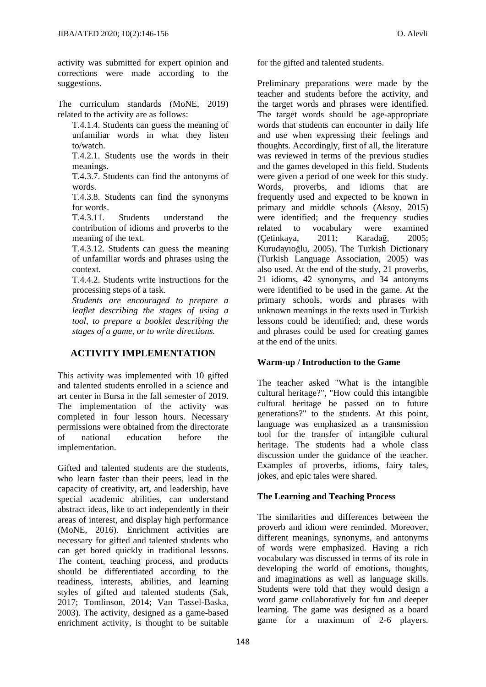activity was submitted for expert opinion and corrections were made according to the suggestions.

The curriculum standards (MoNE, 2019) related to the activity are as follows:

T.4.1.4. Students can guess the meaning of unfamiliar words in what they listen to/watch.

T.4.2.1. Students use the words in their meanings.

T.4.3.7. Students can find the antonyms of words.

T.4.3.8. Students can find the synonyms for words.

T.4.3.11. Students understand the contribution of idioms and proverbs to the meaning of the text.

T.4.3.12. Students can guess the meaning of unfamiliar words and phrases using the context.

T.4.4.2. Students write instructions for the processing steps of a task.

*Students are encouraged to prepare a leaflet describing the stages of using a tool, to prepare a booklet describing the stages of a game, or to write directions.* 

# **ACTIVITY IMPLEMENTATION**

This activity was implemented with 10 gifted and talented students enrolled in a science and art center in Bursa in the fall semester of 2019. The implementation of the activity was completed in four lesson hours. Necessary permissions were obtained from the directorate of national education before the implementation.

Gifted and talented students are the students, who learn faster than their peers, lead in the capacity of creativity, art, and leadership, have special academic abilities, can understand abstract ideas, like to act independently in their areas of interest, and display high performance (MoNE, 2016). Enrichment activities are necessary for gifted and talented students who can get bored quickly in traditional lessons. The content, teaching process, and products should be differentiated according to the readiness, interests, abilities, and learning styles of gifted and talented students (Sak, 2017; Tomlinson, 2014; Van Tassel-Baska, 2003). The activity, designed as a game-based enrichment activity, is thought to be suitable for the gifted and talented students.

Preliminary preparations were made by the teacher and students before the activity, and the target words and phrases were identified. The target words should be age-appropriate words that students can encounter in daily life and use when expressing their feelings and thoughts. Accordingly, first of all, the literature was reviewed in terms of the previous studies and the games developed in this field. Students were given a period of one week for this study. Words, proverbs, and idioms that are frequently used and expected to be known in primary and middle schools (Aksoy, 2015) were identified; and the frequency studies related to vocabulary were examined<br>
(Cetinkava, 2011: Karadağ, 2005: (Çetinkaya, 2011; Karadağ, 2005; Kurudayıoğlu, 2005). The Turkish Dictionary (Turkish Language Association, 2005) was also used. At the end of the study, 21 proverbs, 21 idioms, 42 synonyms, and 34 antonyms were identified to be used in the game. At the primary schools, words and phrases with unknown meanings in the texts used in Turkish lessons could be identified; and, these words and phrases could be used for creating games at the end of the units.

## **Warm-up / Introduction to the Game**

The teacher asked "What is the intangible cultural heritage?", "How could this intangible cultural heritage be passed on to future generations?" to the students. At this point, language was emphasized as a transmission tool for the transfer of intangible cultural heritage. The students had a whole class discussion under the guidance of the teacher. Examples of proverbs, idioms, fairy tales, jokes, and epic tales were shared.

## **The Learning and Teaching Process**

The similarities and differences between the proverb and idiom were reminded. Moreover, different meanings, synonyms, and antonyms of words were emphasized. Having a rich vocabulary was discussed in terms of its role in developing the world of emotions, thoughts, and imaginations as well as language skills. Students were told that they would design a word game collaboratively for fun and deeper learning. The game was designed as a board game for a maximum of 2-6 players.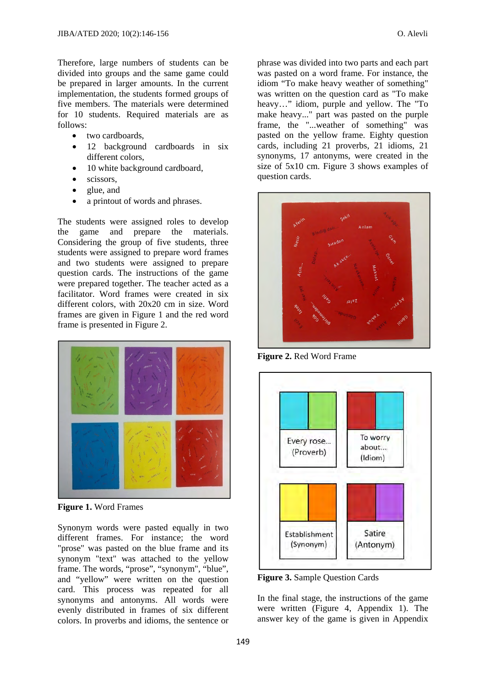Therefore, large numbers of students can be divided into groups and the same game could be prepared in larger amounts. In the current implementation, the students formed groups of five members. The materials were determined for 10 students. Required materials are as follows:

- two cardboards.
- 12 background cardboards in six different colors,
- 10 white background cardboard,
- $\bullet$  scissors.
- glue, and
- a printout of words and phrases.

The students were assigned roles to develop the game and prepare the materials. Considering the group of five students, three students were assigned to prepare word frames and two students were assigned to prepare question cards. The instructions of the game were prepared together. The teacher acted as a facilitator. Word frames were created in six different colors, with 20x20 cm in size. Word frames are given in Figure 1 and the red word frame is presented in Figure 2.



**Figure 1.** Word Frames

Synonym words were pasted equally in two different frames. For instance; the word "prose" was pasted on the blue frame and its synonym "text" was attached to the yellow frame. The words, "prose", "synonym", "blue", and "yellow" were written on the question card. This process was repeated for all synonyms and antonyms. All words were evenly distributed in frames of six different colors. In proverbs and idioms, the sentence or

phrase was divided into two parts and each part was pasted on a word frame. For instance, the idiom "To make heavy weather of something" was written on the question card as "To make heavy…" idiom, purple and yellow. The "To make heavy..." part was pasted on the purple

frame, the "...weather of something" was pasted on the yellow frame. Eighty question cards, including 21 proverbs, 21 idioms, 21 synonyms, 17 antonyms, were created in the size of 5x10 cm. Figure 3 shows examples of question cards.



**Figure 2.** Red Word Frame



**Figure 3.** Sample Question Cards

In the final stage, the instructions of the game were written (Figure 4, Appendix 1). The answer key of the game is given in Appendix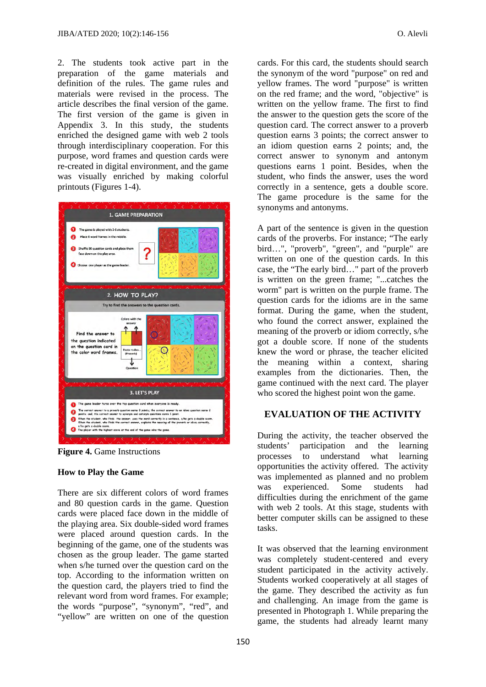2. The students took active part in the preparation of the game materials and definition of the rules. The game rules and materials were revised in the process. The article describes the final version of the game. The first version of the game is given in Appendix 3. In this study, the students enriched the designed game with web 2 tools through interdisciplinary cooperation. For this purpose, word frames and question cards were re-created in digital environment, and the game was visually enriched by making colorful printouts (Figures 1-4).



**Figure 4.** Game Instructions

#### **How to Play the Game**

There are six different colors of word frames and 80 question cards in the game. Question cards were placed face down in the middle of the playing area. Six double-sided word frames were placed around question cards. In the beginning of the game, one of the students was chosen as the group leader. The game started when s/he turned over the question card on the top. According to the information written on the question card, the players tried to find the relevant word from word frames. For example; the words "purpose", "synonym", "red", and "yellow" are written on one of the question cards. For this card, the students should search the synonym of the word "purpose" on red and yellow frames. The word "purpose" is written on the red frame; and the word, "objective" is written on the yellow frame. The first to find the answer to the question gets the score of the question card. The correct answer to a proverb question earns 3 points; the correct answer to an idiom question earns 2 points; and, the correct answer to synonym and antonym questions earns 1 point. Besides, when the student, who finds the answer, uses the word correctly in a sentence, gets a double score. The game procedure is the same for the synonyms and antonyms.

A part of the sentence is given in the question cards of the proverbs. For instance; "The early bird…", "proverb", "green", and "purple" are written on one of the question cards. In this case, the "The early bird…" part of the proverb is written on the green frame; "...catches the worm" part is written on the purple frame. The question cards for the idioms are in the same format. During the game, when the student, who found the correct answer, explained the meaning of the proverb or idiom correctly, s/he got a double score. If none of the students knew the word or phrase, the teacher elicited the meaning within a context, sharing examples from the dictionaries. Then, the game continued with the next card. The player who scored the highest point won the game.

## **EVALUATION OF THE ACTIVITY**

During the activity, the teacher observed the students' participation and the learning processes to understand what learning opportunities the activity offered. The activity was implemented as planned and no problem was experienced. Some students had difficulties during the enrichment of the game with web 2 tools. At this stage, students with better computer skills can be assigned to these tasks.

It was observed that the learning environment was completely student-centered and every student participated in the activity actively. Students worked cooperatively at all stages of the game. They described the activity as fun and challenging. An image from the game is presented in Photograph 1. While preparing the game, the students had already learnt many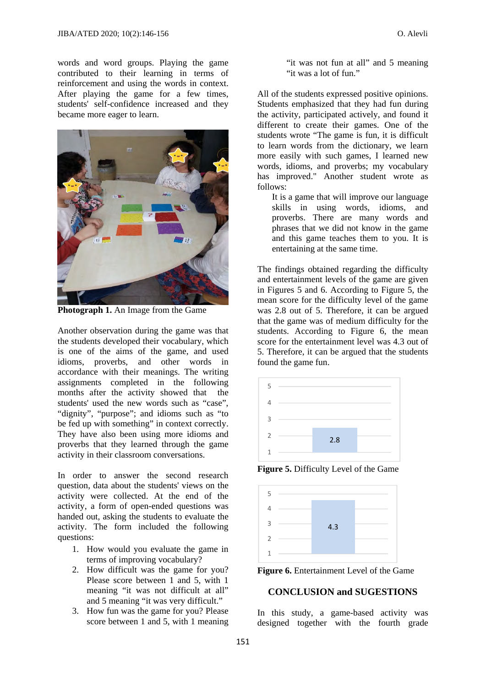words and word groups. Playing the game contributed to their learning in terms of reinforcement and using the words in context. After playing the game for a few times, students' self-confidence increased and they became more eager to learn.



**Photograph 1.** An Image from the Game

Another observation during the game was that the students developed their vocabulary, which is one of the aims of the game, and used idioms, proverbs, and other words in accordance with their meanings. The writing assignments completed in the following months after the activity showed that the students' used the new words such as "case", "dignity", "purpose"; and idioms such as "to be fed up with something" in context correctly. They have also been using more idioms and proverbs that they learned through the game activity in their classroom conversations.

In order to answer the second research question, data about the students' views on the activity were collected. At the end of the activity, a form of open-ended questions was handed out, asking the students to evaluate the activity. The form included the following questions:

- 1. How would you evaluate the game in terms of improving vocabulary?
- 2. How difficult was the game for you? Please score between 1 and 5, with 1 meaning "it was not difficult at all" and 5 meaning "it was very difficult."
- 3. How fun was the game for you? Please score between 1 and 5, with 1 meaning

"it was not fun at all" and 5 meaning "it was a lot of fun."

All of the students expressed positive opinions. Students emphasized that they had fun during the activity, participated actively, and found it different to create their games. One of the students wrote "The game is fun, it is difficult to learn words from the dictionary, we learn more easily with such games, I learned new words, idioms, and proverbs; my vocabulary has improved." Another student wrote as follows:

It is a game that will improve our language skills in using words, idioms, and proverbs. There are many words and phrases that we did not know in the game and this game teaches them to you. It is entertaining at the same time.

The findings obtained regarding the difficulty and entertainment levels of the game are given in Figures 5 and 6. According to Figure 5, the mean score for the difficulty level of the game was 2.8 out of 5. Therefore, it can be argued that the game was of medium difficulty for the students. According to Figure 6, the mean score for the entertainment level was 4.3 out of 5. Therefore, it can be argued that the students found the game fun.



**Figure 5.** Difficulty Level of the Game



**Figure 6.** Entertainment Level of the Game

## **CONCLUSION and SUGESTIONS**

In this study, a game-based activity was designed together with the fourth grade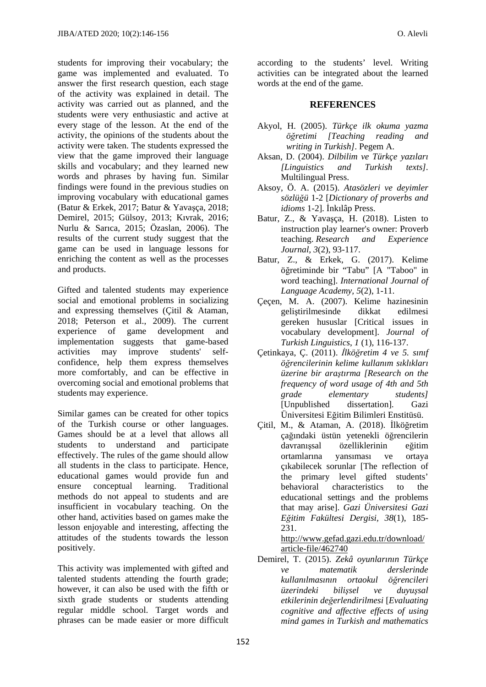students for improving their vocabulary; the game was implemented and evaluated. To answer the first research question, each stage of the activity was explained in detail. The activity was carried out as planned, and the students were very enthusiastic and active at every stage of the lesson. At the end of the activity, the opinions of the students about the activity were taken. The students expressed the view that the game improved their language skills and vocabulary; and they learned new words and phrases by having fun. Similar findings were found in the previous studies on improving vocabulary with educational games (Batur & Erkek, 2017; Batur & Yavaşça, 2018; Demirel, 2015; Gülsoy, 2013; Kıvrak, 2016; Nurlu & Sarıca, 2015; Özaslan, 2006). The results of the current study suggest that the game can be used in language lessons for enriching the content as well as the processes and products.

Gifted and talented students may experience social and emotional problems in socializing and expressing themselves (Çitil & Ataman, 2018; Peterson et al., 2009). The current experience of game development and implementation suggests that game-based activities may improve students' selfconfidence, help them express themselves more comfortably, and can be effective in overcoming social and emotional problems that students may experience.

Similar games can be created for other topics of the Turkish course or other languages. Games should be at a level that allows all students to understand and participate effectively. The rules of the game should allow all students in the class to participate. Hence, educational games would provide fun and ensure conceptual learning. Traditional methods do not appeal to students and are insufficient in vocabulary teaching. On the other hand, activities based on games make the lesson enjoyable and interesting, affecting the attitudes of the students towards the lesson positively.

This activity was implemented with gifted and talented students attending the fourth grade; however, it can also be used with the fifth or sixth grade students or students attending regular middle school. Target words and phrases can be made easier or more difficult

according to the students' level. Writing activities can be integrated about the learned words at the end of the game.

## **REFERENCES**

- Akyol, H. (2005). *Türkçe ilk okuma yazma öğretimi [Teaching reading and writing in Turkish]*. Pegem A.
- Aksan, D. (2004). *Dilbilim ve Türkçe yazıları [Linguistics and Turkish texts].*  Multilingual Press.
- Aksoy, Ö. A. (2015). *Atasözleri ve deyimler sözlüğü* 1-2 [*Dictionary of proverbs and idioms* 1-2]. İnkılâp Press.
- Batur, Z., & Yavaşça, H. (2018). Listen to instruction play learner's owner: Proverb teaching. *Research and Experience Journal*, *3*(2), 93-117.
- Batur, Z., & Erkek, G. (2017). Kelime öğretiminde bir "Tabu" [A "Taboo" in word teaching]. *International Journal of Language Academy, 5*(2), 1-11.
- Çeçen, M. A. (2007). Kelime hazinesinin geliştirilmesinde dikkat edilmesi gereken hususlar [Critical issues in vocabulary development]. *Journal of Turkish Linguistics*, *1* (1), 116-137.
- Çetinkaya, Ç. (2011). *İlköğretim 4 ve 5. sınıf öğrencilerinin kelime kullanım sıklıkları üzerine bir araştırma [Research on the frequency of word usage of 4th and 5th grade elementary students]*  [Unpublished dissertation]. Gazi Üniversitesi Eğitim Bilimleri Enstitüsü.
- Çitil, M., & Ataman, A. (2018). İlköğretim çağındaki üstün yetenekli öğrencilerin davranışsal özelliklerinin eğitim ortamlarına yansıması ve ortaya çıkabilecek sorunlar [The reflection of the primary level gifted students' behavioral characteristics to the educational settings and the problems that may arise]. *Gazi Üniversitesi Gazi Eğitim Fakültesi Dergisi, 38*(1), 185- 231.

http://www.gefad.gazi.edu.tr/download/ article-file/462740

Demirel, T. (2015). *Zekâ oyunlarının Türkçe ve matematik derslerinde kullanılmasının ortaokul öğrencileri üzerindeki bilişsel ve duyuşsal etkilerinin değerlendirilmesi* [*Evaluating cognitive and affective effects of using mind games in Turkish and mathematics*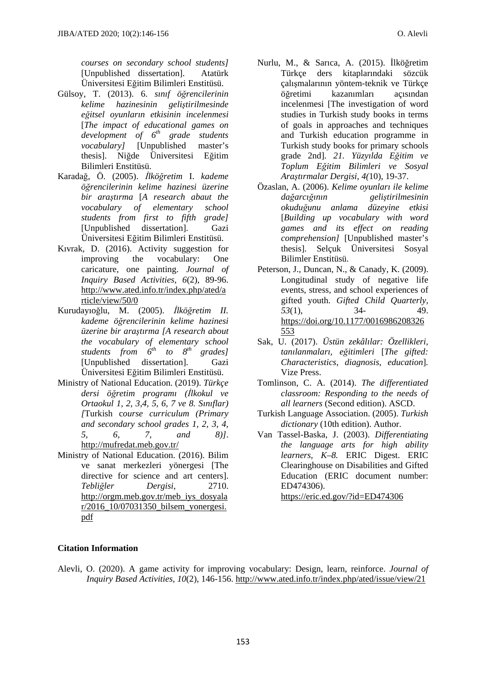*courses on secondary school students]*  [Unpublished dissertation]. Atatürk Üniversitesi Eğitim Bilimleri Enstitüsü.

- Gülsoy, T. (2013). 6. *sınıf öğrencilerinin kelime hazinesinin geliştirilmesinde eğitsel oyunların etkisinin incelenmesi*  [*The impact of educational games on development of 6th grade students vocabulary]* [Unpublished master's thesis]. Niğde Üniversitesi Eğitim Bilimleri Enstitüsü.
- Karadağ, Ö. (2005). *İlköğretim* I. *kademe öğrencilerinin kelime hazinesi üzerine bir araştırma* [*A research abaut the vocabulary of elementary school students from first to fifth grade]*  [Unpublished dissertation]. Gazi Üniversitesi Eğitim Bilimleri Enstitüsü.
- Kıvrak, D. (2016). Activity suggestion for improving the vocabulary: One caricature, one painting. *Journal of Inquiry Based Activities, 6*(2), 89-96. http://www.ated.info.tr/index.php/ated/a rticle/view/50/0
- Kurudayıoğlu, M. (2005). *İlköğretim II. kademe öğrencilerinin kelime hazinesi üzerine bir araştırma [A research about the vocabulary of elementary school students from 6th to 8th grades]* [Unpublished dissertation]. Gazi Üniversitesi Eğitim Bilimleri Enstitüsü.
- Ministry of National Education. (2019). *Türkçe dersi öğretim programı (İlkokul ve Ortaokul 1, 2, 3,4, 5, 6, 7 ve 8. Sınıflar) [*Turkish c*ourse curriculum (Primary and secondary school grades 1, 2, 3, 4, 5, 6, 7, and 8)]*. http://mufredat.meb.gov.tr/
- Ministry of National Education. (2016). Bilim ve sanat merkezleri yönergesi [The directive for science and art centers]. *Tebliğler Dergisi,* 2710. http://orgm.meb.gov.tr/meb\_iys\_dosyala r/2016\_10/07031350\_bilsem\_yonergesi. pdf
- Nurlu, M., & Sarıca, A. (2015). İlköğretim Türkçe ders kitaplarındaki sözcük çalışmalarının yöntem-teknik ve Türkçe öğretimi kazanımları açısından incelenmesi [The investigation of word studies in Turkish study books in terms of goals in approaches and techniques and Turkish education programme in Turkish study books for primary schools grade 2nd]. *21. Yüzyılda Eğitim ve Toplum Eğitim Bilimleri ve Sosyal Araştırmalar Dergisi*, *4(*10), 19-37.
- Özaslan, A. (2006). *Kelime oyunları ile kelime dağarcığının geliştirilmesinin okuduğunu anlama düzeyine etkisi* [*Building up vocabulary with word games and its effect on reading comprehension]* [Unpublished master's thesis]. Selçuk Üniversitesi Sosyal Bilimler Enstitüsü.
- Peterson, J., Duncan, N., & Canady, K. (2009). Longitudinal study of negative life events, stress, and school experiences of gifted youth. *Gifted Child Quarterly, 53*(1), 34- 49. https://doi.org/10.1177/0016986208326 553
- Sak, U. (2017). *Üstün zekâlılar: Özellikleri, tanılanmaları, eğitimleri* [*The gifted: Characteristics, diagnosis, education*]*.*  Vize Press.
- Tomlinson, C. A. (2014). *The differentiated classroom: Responding to the needs of all learners* (Second edition). ASCD.
- Turkish Language Association. (2005). *Turkish dictionary* (10th edition). Author.
- Van Tassel-Baska, J. (2003). *Differentiating the language arts for high ability learners, K–8.* ERIC Digest. ERIC Clearinghouse on Disabilities and Gifted Education (ERIC document number: ED474306).

https://eric.ed.gov/?id=ED474306

## **Citation Information**

Alevli, O. (2020). A game activity for improving vocabulary: Design, learn, reinforce. *Journal of Inquiry Based Activities, 10*(2), 146-156. http://www.ated.info.tr/index.php/ated/issue/view/21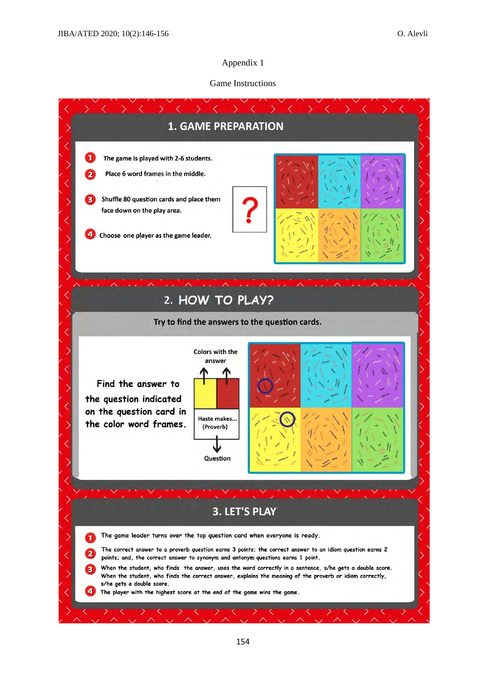## Appendix 1

#### Game Instructions

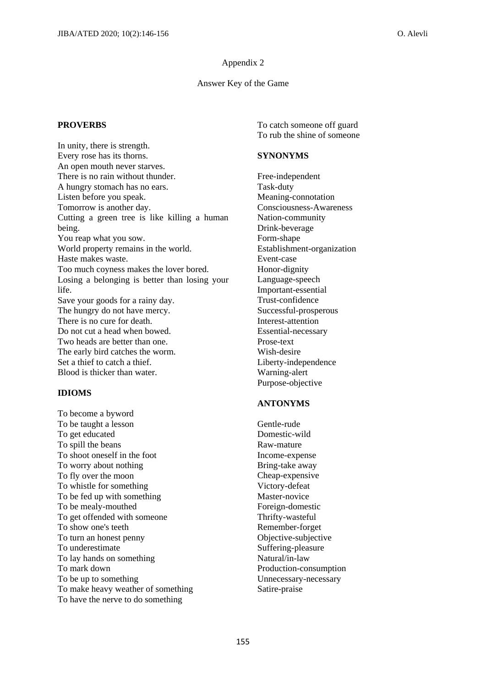#### Appendix 2

#### Answer Key of the Game

## **PROVERBS**

In unity, there is strength. Every rose has its thorns. An open mouth never starves. There is no rain without thunder. A hungry stomach has no ears. Listen before you speak. Tomorrow is another day. Cutting a green tree is like killing a human being. You reap what you sow. World property remains in the world. Haste makes waste. Too much coyness makes the lover bored. Losing a belonging is better than losing your life. Save your goods for a rainy day. The hungry do not have mercy. There is no cure for death. Do not cut a head when bowed. Two heads are better than one. The early bird catches the worm. Set a thief to catch a thief. Blood is thicker than water.

#### **IDIOMS**

To become a byword To be taught a lesson To get educated To spill the beans To shoot oneself in the foot To worry about nothing To fly over the moon To whistle for something To be fed up with something To be mealy-mouthed To get offended with someone To show one's teeth To turn an honest penny To underestimate To lay hands on something To mark down To be up to something To make heavy weather of something To have the nerve to do something

To catch someone off guard To rub the shine of someone

#### **SYNONYMS**

Free-independent Task-duty Meaning-connotation Consciousness-Awareness Nation-community Drink-beverage Form-shape Establishment-organization Event-case Honor-dignity Language-speech Important-essential Trust-confidence Successful-prosperous Interest-attention Essential-necessary Prose-text Wish-desire Liberty-independence Warning-alert Purpose-objective

## **ANTONYMS**

Gentle-rude Domestic-wild Raw-mature Income-expense Bring-take away Cheap-expensive Victory-defeat Master-novice Foreign-domestic Thrifty-wasteful Remember-forget Objective-subjective Suffering-pleasure Natural/in-law Production-consumption Unnecessary-necessary Satire-praise